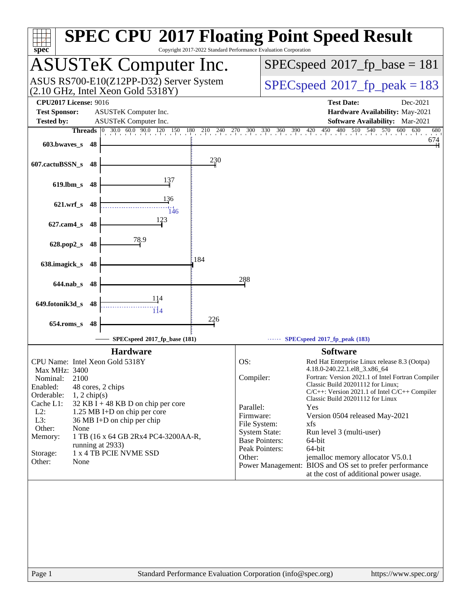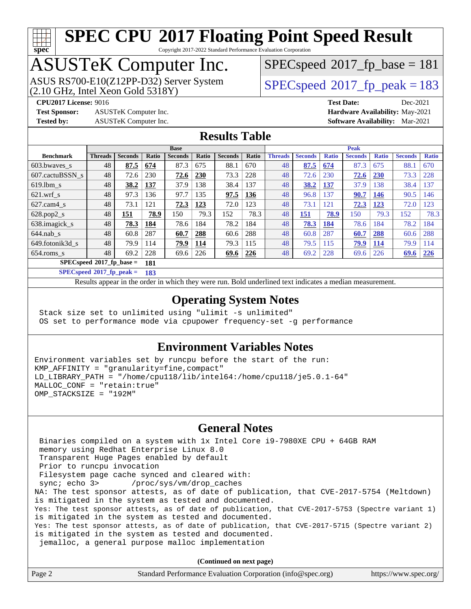# **[spec](http://www.spec.org/)**

# **[SPEC CPU](http://www.spec.org/auto/cpu2017/Docs/result-fields.html#SPECCPU2017FloatingPointSpeedResult)[2017 Floating Point Speed Result](http://www.spec.org/auto/cpu2017/Docs/result-fields.html#SPECCPU2017FloatingPointSpeedResult)**

Copyright 2017-2022 Standard Performance Evaluation Corporation

# ASUSTeK Computer Inc.

 $(2.10$  GHz, Intel Xeon Gold  $5318$ Y) ASUS RS700-E10(Z12PP-D32) Server System [SPECspeed](http://www.spec.org/auto/cpu2017/Docs/result-fields.html#SPECspeed2017fppeak)<sup>®</sup>2017 fp\_peak = 183

 $SPECspeed*2017_fp\_base = 181$  $SPECspeed*2017_fp\_base = 181$ 

**[Test Sponsor:](http://www.spec.org/auto/cpu2017/Docs/result-fields.html#TestSponsor)** ASUSTeK Computer Inc. **[Hardware Availability:](http://www.spec.org/auto/cpu2017/Docs/result-fields.html#HardwareAvailability)** May-2021

**[CPU2017 License:](http://www.spec.org/auto/cpu2017/Docs/result-fields.html#CPU2017License)** 9016 **[Test Date:](http://www.spec.org/auto/cpu2017/Docs/result-fields.html#TestDate)** Dec-2021 **[Tested by:](http://www.spec.org/auto/cpu2017/Docs/result-fields.html#Testedby)** ASUSTeK Computer Inc. **[Software Availability:](http://www.spec.org/auto/cpu2017/Docs/result-fields.html#SoftwareAvailability)** Mar-2021

## **[Results Table](http://www.spec.org/auto/cpu2017/Docs/result-fields.html#ResultsTable)**

|                             | <b>Base</b>    |                |              |                |       | <b>Peak</b>    |       |                |                |              |                |              |                |              |
|-----------------------------|----------------|----------------|--------------|----------------|-------|----------------|-------|----------------|----------------|--------------|----------------|--------------|----------------|--------------|
| <b>Benchmark</b>            | <b>Threads</b> | <b>Seconds</b> | <b>Ratio</b> | <b>Seconds</b> | Ratio | <b>Seconds</b> | Ratio | <b>Threads</b> | <b>Seconds</b> | <b>Ratio</b> | <b>Seconds</b> | <b>Ratio</b> | <b>Seconds</b> | <b>Ratio</b> |
| 603.bwayes_s                | 48             | 87.5           | 674          | 87.3           | 675   | 88.1           | 670   | 48             | 87.5           | 674          | 87.3           | 675          | 88.1           | 670          |
| 607.cactuBSSN s             | 48             | 72.6           | 230          | 72.6           | 230   | 73.3           | 228   | 48             | 72.6           | 230          | 72.6           | <b>230</b>   | 73.3           | 228          |
| $619.1$ bm s                | 48             | 38.2           | 137          | 37.9           | 138   | 38.4           | 137   | 48             | 38.2           | 137          | 37.9           | 138          | 38.4           | 137          |
| $621$ wrf s                 | 48             | 97.3           | 136          | 97.7           | 135   | 97.5           | 136   | 48             | 96.8           | 137          | 90.7           | 146          | 90.5           | 146          |
| $627$ .cam $4$ <sub>s</sub> | 48             | 73.1           | 121          | 72.3           | 123   | 72.0           | 123   | 48             | 73.1           | 121          | 72.3           | 123          | 72.0           | 123          |
| $628.pop2_s$                | 48             | 151            | 78.9         | 150            | 79.3  | 152            | 78.3  | 48             | 151            | 78.9         | 150            | 79.3         | 152            | 78.3         |
| 638.imagick_s               | 48             | 78.3           | 184          | 78.6           | 184   | 78.2           | 184   | 48             | 78.3           | 184          | 78.6           | 184          | 78.2           | 184          |
| $644$ .nab s                | 48             | 60.8           | 287          | 60.7           | 288   | 60.6           | 288   | 48             | 60.8           | 287          | 60.7           | 288          | 60.6           | 288          |
| 649.fotonik3d s             | 48             | 79.9           | 114          | 79.9           | 114   | 79.3           | 115   | 48             | 79.5           | 115          | 79.9           | 114          | 79.9           | 114          |
| $654$ .roms s               | 48             | 69.2           | 228          | 69.6           | 226   | 69.6           | 226   | 48             | 69.2           | 228          | 69.6           | 226          | 69.6           | 226          |
| SPECspeed®2017_fp_base =    |                |                | 181          |                |       |                |       |                |                |              |                |              |                |              |

**[SPECspeed](http://www.spec.org/auto/cpu2017/Docs/result-fields.html#SPECspeed2017fppeak)[2017\\_fp\\_peak =](http://www.spec.org/auto/cpu2017/Docs/result-fields.html#SPECspeed2017fppeak) 183**

Results appear in the [order in which they were run.](http://www.spec.org/auto/cpu2017/Docs/result-fields.html#RunOrder) Bold underlined text [indicates a median measurement](http://www.spec.org/auto/cpu2017/Docs/result-fields.html#Median).

## **[Operating System Notes](http://www.spec.org/auto/cpu2017/Docs/result-fields.html#OperatingSystemNotes)**

 Stack size set to unlimited using "ulimit -s unlimited" OS set to performance mode via cpupower frequency-set -g performance

## **[Environment Variables Notes](http://www.spec.org/auto/cpu2017/Docs/result-fields.html#EnvironmentVariablesNotes)**

Environment variables set by runcpu before the start of the run: KMP\_AFFINITY = "granularity=fine,compact" LD\_LIBRARY\_PATH = "/home/cpu118/lib/intel64:/home/cpu118/je5.0.1-64" MALLOC\_CONF = "retain:true" OMP STACKSIZE = "192M"

## **[General Notes](http://www.spec.org/auto/cpu2017/Docs/result-fields.html#GeneralNotes)**

 Binaries compiled on a system with 1x Intel Core i9-7980XE CPU + 64GB RAM memory using Redhat Enterprise Linux 8.0 Transparent Huge Pages enabled by default Prior to runcpu invocation Filesystem page cache synced and cleared with: sync; echo 3> /proc/sys/vm/drop\_caches NA: The test sponsor attests, as of date of publication, that CVE-2017-5754 (Meltdown) is mitigated in the system as tested and documented. Yes: The test sponsor attests, as of date of publication, that CVE-2017-5753 (Spectre variant 1) is mitigated in the system as tested and documented. Yes: The test sponsor attests, as of date of publication, that CVE-2017-5715 (Spectre variant 2) is mitigated in the system as tested and documented. jemalloc, a general purpose malloc implementation

**(Continued on next page)**

| Page 2<br>Standard Performance Evaluation Corporation (info@spec.org)<br>https://www.spec.org/ |
|------------------------------------------------------------------------------------------------|
|------------------------------------------------------------------------------------------------|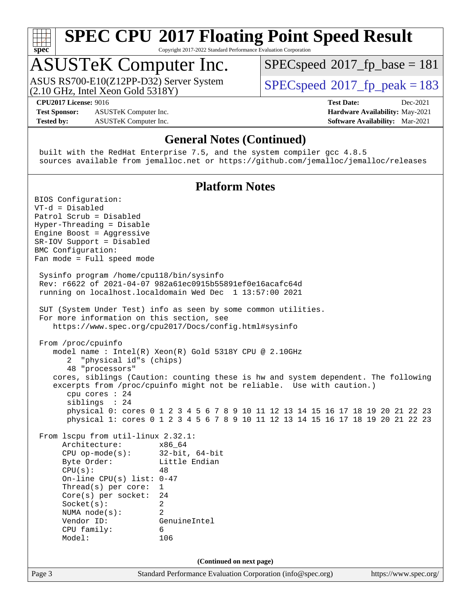

Copyright 2017-2022 Standard Performance Evaluation Corporation

# ASUSTeK Computer Inc.

(2.10 GHz, Intel Xeon Gold 5318Y) ASUS RS700-E10(Z12PP-D32) Server System  $SPECspeed@2017$  $SPECspeed@2017$  fp\_peak = 183

[SPECspeed](http://www.spec.org/auto/cpu2017/Docs/result-fields.html#SPECspeed2017fpbase)<sup>®</sup>2017 fp base = 181

**[CPU2017 License:](http://www.spec.org/auto/cpu2017/Docs/result-fields.html#CPU2017License)** 9016 **[Test Date:](http://www.spec.org/auto/cpu2017/Docs/result-fields.html#TestDate)** Dec-2021

**[Test Sponsor:](http://www.spec.org/auto/cpu2017/Docs/result-fields.html#TestSponsor)** ASUSTeK Computer Inc. **[Hardware Availability:](http://www.spec.org/auto/cpu2017/Docs/result-fields.html#HardwareAvailability)** May-2021 **[Tested by:](http://www.spec.org/auto/cpu2017/Docs/result-fields.html#Testedby)** ASUSTeK Computer Inc. **[Software Availability:](http://www.spec.org/auto/cpu2017/Docs/result-fields.html#SoftwareAvailability)** Mar-2021

## **[General Notes \(Continued\)](http://www.spec.org/auto/cpu2017/Docs/result-fields.html#GeneralNotes)**

 built with the RedHat Enterprise 7.5, and the system compiler gcc 4.8.5 sources available from jemalloc.net or <https://github.com/jemalloc/jemalloc/releases>

## **[Platform Notes](http://www.spec.org/auto/cpu2017/Docs/result-fields.html#PlatformNotes)**

Page 3 Standard Performance Evaluation Corporation [\(info@spec.org\)](mailto:info@spec.org) <https://www.spec.org/> BIOS Configuration: VT-d = Disabled Patrol Scrub = Disabled Hyper-Threading = Disable Engine Boost = Aggressive SR-IOV Support = Disabled BMC Configuration: Fan mode = Full speed mode Sysinfo program /home/cpu118/bin/sysinfo Rev: r6622 of 2021-04-07 982a61ec0915b55891ef0e16acafc64d running on localhost.localdomain Wed Dec 1 13:57:00 2021 SUT (System Under Test) info as seen by some common utilities. For more information on this section, see <https://www.spec.org/cpu2017/Docs/config.html#sysinfo> From /proc/cpuinfo model name : Intel(R) Xeon(R) Gold 5318Y CPU @ 2.10GHz 2 "physical id"s (chips) 48 "processors" cores, siblings (Caution: counting these is hw and system dependent. The following excerpts from /proc/cpuinfo might not be reliable. Use with caution.) cpu cores : 24 siblings : 24 physical 0: cores 0 1 2 3 4 5 6 7 8 9 10 11 12 13 14 15 16 17 18 19 20 21 22 23 physical 1: cores 0 1 2 3 4 5 6 7 8 9 10 11 12 13 14 15 16 17 18 19 20 21 22 23 From lscpu from util-linux 2.32.1: Architecture: x86\_64 CPU op-mode(s): 32-bit, 64-bit Byte Order: Little Endian  $CPU(s):$  48 On-line CPU(s) list: 0-47 Thread(s) per core: 1 Core(s) per socket: 24 Socket(s): 2 NUMA node(s): 2 Vendor ID: GenuineIntel CPU family: 6 Model: 106 **(Continued on next page)**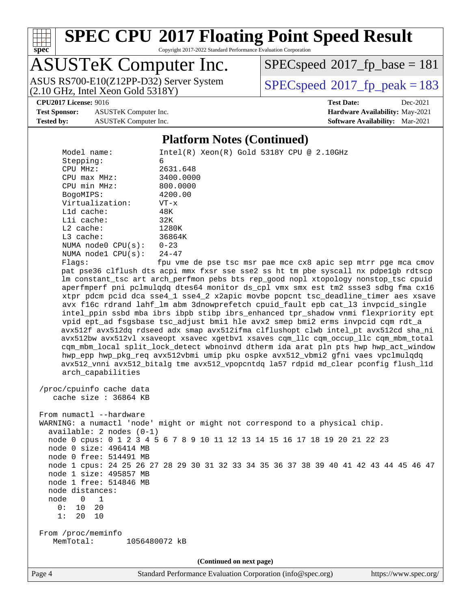

Copyright 2017-2022 Standard Performance Evaluation Corporation

# ASUSTeK Computer Inc.

(2.10 GHz, Intel Xeon Gold 5318Y)

[SPECspeed](http://www.spec.org/auto/cpu2017/Docs/result-fields.html#SPECspeed2017fpbase)<sup>®</sup>2017 fp base = 181

ASUS RS700-E10(Z12PP-D32) Server System  $SPECspeed@2017$  $SPECspeed@2017$  fp\_peak = 183

**[Test Sponsor:](http://www.spec.org/auto/cpu2017/Docs/result-fields.html#TestSponsor)** ASUSTeK Computer Inc. **[Hardware Availability:](http://www.spec.org/auto/cpu2017/Docs/result-fields.html#HardwareAvailability)** May-2021 **[Tested by:](http://www.spec.org/auto/cpu2017/Docs/result-fields.html#Testedby)** ASUSTeK Computer Inc. **[Software Availability:](http://www.spec.org/auto/cpu2017/Docs/result-fields.html#SoftwareAvailability)** Mar-2021

**[CPU2017 License:](http://www.spec.org/auto/cpu2017/Docs/result-fields.html#CPU2017License)** 9016 **[Test Date:](http://www.spec.org/auto/cpu2017/Docs/result-fields.html#TestDate)** Dec-2021

### **[Platform Notes \(Continued\)](http://www.spec.org/auto/cpu2017/Docs/result-fields.html#PlatformNotes)**

 Model name: Intel(R) Xeon(R) Gold 5318Y CPU @ 2.10GHz Stepping: 6<br>
CPU MHz: 2631.648 CPU MHz: 2631.648 CPU max MHz: 3400.0000 CPU min MHz: 800.0000 BogoMIPS: 4200.00 Virtualization: VT-x L1d cache: 48K L1i cache: 32K L2 cache: 1280K L3 cache: 36864K NUMA node0 CPU(s): 0-23 NUMA node1 CPU(s): 24-47 Flags: fpu vme de pse tsc msr pae mce cx8 apic sep mtrr pge mca cmov pat pse36 clflush dts acpi mmx fxsr sse sse2 ss ht tm pbe syscall nx pdpe1gb rdtscp lm constant\_tsc art arch\_perfmon pebs bts rep\_good nopl xtopology nonstop\_tsc cpuid aperfmperf pni pclmulqdq dtes64 monitor ds\_cpl vmx smx est tm2 ssse3 sdbg fma cx16 xtpr pdcm pcid dca sse4\_1 sse4\_2 x2apic movbe popcnt tsc\_deadline\_timer aes xsave avx f16c rdrand lahf\_lm abm 3dnowprefetch cpuid\_fault epb cat\_l3 invpcid\_single intel\_ppin ssbd mba ibrs ibpb stibp ibrs\_enhanced tpr\_shadow vnmi flexpriority ept vpid ept\_ad fsgsbase tsc\_adjust bmi1 hle avx2 smep bmi2 erms invpcid cqm rdt\_a avx512f avx512dq rdseed adx smap avx512ifma clflushopt clwb intel\_pt avx512cd sha\_ni avx512bw avx512vl xsaveopt xsavec xgetbv1 xsaves cqm\_llc cqm\_occup\_llc cqm\_mbm\_total cqm\_mbm\_local split\_lock\_detect wbnoinvd dtherm ida arat pln pts hwp hwp\_act\_window hwp\_epp hwp\_pkg\_req avx512vbmi umip pku ospke avx512\_vbmi2 gfni vaes vpclmulqdq avx512\_vnni avx512\_bitalg tme avx512\_vpopcntdq la57 rdpid md\_clear pconfig flush\_l1d arch\_capabilities /proc/cpuinfo cache data cache size : 36864 KB From numactl --hardware WARNING: a numactl 'node' might or might not correspond to a physical chip. available: 2 nodes (0-1) node 0 cpus: 0 1 2 3 4 5 6 7 8 9 10 11 12 13 14 15 16 17 18 19 20 21 22 23 node 0 size: 496414 MB node 0 free: 514491 MB node 1 cpus: 24 25 26 27 28 29 30 31 32 33 34 35 36 37 38 39 40 41 42 43 44 45 46 47 node 1 size: 495857 MB node 1 free: 514846 MB node distances: node 0 1 0: 10 20 1: 20 10 From /proc/meminfo MemTotal: 1056480072 kB **(Continued on next page)**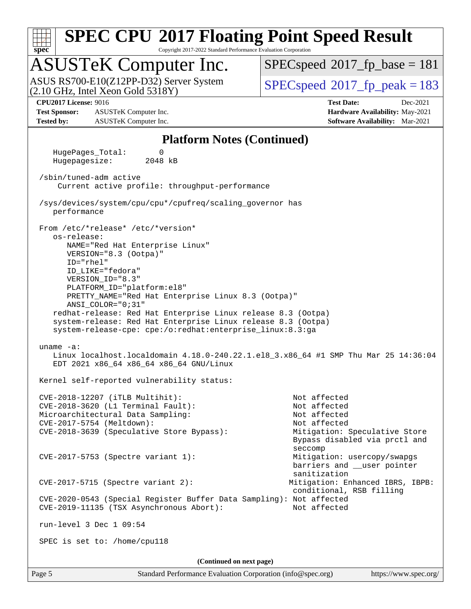

Copyright 2017-2022 Standard Performance Evaluation Corporation

# ASUSTeK Computer Inc.

(2.10 GHz, Intel Xeon Gold 5318Y) ASUS RS700-E10(Z12PP-D32) Server System  $SPECspeed@2017$  $SPECspeed@2017$  fp\_peak = 183

[SPECspeed](http://www.spec.org/auto/cpu2017/Docs/result-fields.html#SPECspeed2017fpbase)<sup>®</sup>2017 fp base = 181

**[Test Sponsor:](http://www.spec.org/auto/cpu2017/Docs/result-fields.html#TestSponsor)** ASUSTeK Computer Inc. **[Hardware Availability:](http://www.spec.org/auto/cpu2017/Docs/result-fields.html#HardwareAvailability)** May-2021 **[Tested by:](http://www.spec.org/auto/cpu2017/Docs/result-fields.html#Testedby)** ASUSTeK Computer Inc. **[Software Availability:](http://www.spec.org/auto/cpu2017/Docs/result-fields.html#SoftwareAvailability)** Mar-2021

**[CPU2017 License:](http://www.spec.org/auto/cpu2017/Docs/result-fields.html#CPU2017License)** 9016 **[Test Date:](http://www.spec.org/auto/cpu2017/Docs/result-fields.html#TestDate)** Dec-2021

### **[Platform Notes \(Continued\)](http://www.spec.org/auto/cpu2017/Docs/result-fields.html#PlatformNotes)**

 HugePages\_Total: 0 Hugepagesize: 2048 kB /sbin/tuned-adm active Current active profile: throughput-performance /sys/devices/system/cpu/cpu\*/cpufreq/scaling\_governor has performance From /etc/\*release\* /etc/\*version\* os-release: NAME="Red Hat Enterprise Linux" VERSION="8.3 (Ootpa)" ID="rhel" ID\_LIKE="fedora" VERSION\_ID="8.3" PLATFORM\_ID="platform:el8" PRETTY\_NAME="Red Hat Enterprise Linux 8.3 (Ootpa)" ANSI\_COLOR="0;31" redhat-release: Red Hat Enterprise Linux release 8.3 (Ootpa) system-release: Red Hat Enterprise Linux release 8.3 (Ootpa) system-release-cpe: cpe:/o:redhat:enterprise\_linux:8.3:ga uname -a: Linux localhost.localdomain 4.18.0-240.22.1.el8\_3.x86\_64 #1 SMP Thu Mar 25 14:36:04 EDT 2021 x86\_64 x86\_64 x86\_64 GNU/Linux Kernel self-reported vulnerability status: CVE-2018-12207 (iTLB Multihit): Not affected CVE-2018-3620 (L1 Terminal Fault): Not affected Microarchitectural Data Sampling: Not affected CVE-2017-5754 (Meltdown): Not affected CVE-2018-3639 (Speculative Store Bypass): Mitigation: Speculative Store Bypass disabled via prctl and seccompany and the contract of the contract of the contract of the second seconds of the contract of the contract of the contract of the contract of the contract of the contract of the contract of the contract of the contr CVE-2017-5753 (Spectre variant 1): Mitigation: usercopy/swapgs barriers and \_\_user pointer sanitization CVE-2017-5715 (Spectre variant 2): Mitigation: Enhanced IBRS, IBPB: conditional, RSB filling CVE-2020-0543 (Special Register Buffer Data Sampling): Not affected CVE-2019-11135 (TSX Asynchronous Abort): Not affected run-level 3 Dec 1 09:54 SPEC is set to: /home/cpu118 **(Continued on next page)**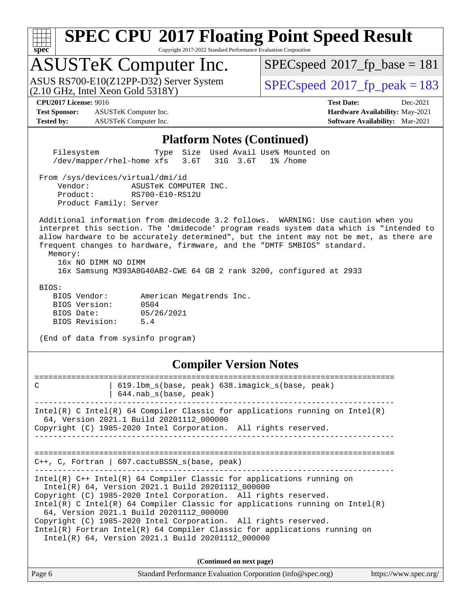| с |  |  |  |  |  |
|---|--|--|--|--|--|

Copyright 2017-2022 Standard Performance Evaluation Corporation

# ASUSTeK Computer Inc.

(2.10 GHz, Intel Xeon Gold 5318Y) ASUS RS700-E10(Z12PP-D32) Server System  $SPECspeed@2017$  $SPECspeed@2017$  fp\_peak = 183

[SPECspeed](http://www.spec.org/auto/cpu2017/Docs/result-fields.html#SPECspeed2017fpbase)<sup>®</sup>2017 fp base = 181

**[Test Sponsor:](http://www.spec.org/auto/cpu2017/Docs/result-fields.html#TestSponsor)** ASUSTeK Computer Inc. **[Hardware Availability:](http://www.spec.org/auto/cpu2017/Docs/result-fields.html#HardwareAvailability)** May-2021 **[Tested by:](http://www.spec.org/auto/cpu2017/Docs/result-fields.html#Testedby)** ASUSTeK Computer Inc. **[Software Availability:](http://www.spec.org/auto/cpu2017/Docs/result-fields.html#SoftwareAvailability)** Mar-2021

**[CPU2017 License:](http://www.spec.org/auto/cpu2017/Docs/result-fields.html#CPU2017License)** 9016 **[Test Date:](http://www.spec.org/auto/cpu2017/Docs/result-fields.html#TestDate)** Dec-2021

### **[Platform Notes \(Continued\)](http://www.spec.org/auto/cpu2017/Docs/result-fields.html#PlatformNotes)**

 Filesystem Type Size Used Avail Use% Mounted on /dev/mapper/rhel-home xfs 3.6T 31G 3.6T 1% /home

From /sys/devices/virtual/dmi/id

 Vendor: ASUSTeK COMPUTER INC. Product: RS700-E10-RS12U Product Family: Server

 Additional information from dmidecode 3.2 follows. WARNING: Use caution when you interpret this section. The 'dmidecode' program reads system data which is "intended to allow hardware to be accurately determined", but the intent may not be met, as there are frequent changes to hardware, firmware, and the "DMTF SMBIOS" standard.

 Memory: 16x NO DIMM NO DIMM

16x Samsung M393A8G40AB2-CWE 64 GB 2 rank 3200, configured at 2933

BIOS:

| BIOS Vendor:   |            | American Megatrends Inc. |  |
|----------------|------------|--------------------------|--|
| BIOS Version:  | 0504       |                          |  |
| BIOS Date:     | 05/26/2021 |                          |  |
| BIOS Revision: | 5.4        |                          |  |

(End of data from sysinfo program)

## **[Compiler Version Notes](http://www.spec.org/auto/cpu2017/Docs/result-fields.html#CompilerVersionNotes)**

============================================================================== C 19.1bm s(base, peak) 638.imagick s(base, peak) | 644.nab\_s(base, peak) ------------------------------------------------------------------------------ Intel(R) C Intel(R) 64 Compiler Classic for applications running on Intel(R) 64, Version 2021.1 Build 20201112\_000000 Copyright (C) 1985-2020 Intel Corporation. All rights reserved. ------------------------------------------------------------------------------ ============================================================================== C++, C, Fortran | 607.cactuBSSN\_s(base, peak) ------------------------------------------------------------------------------ Intel(R) C++ Intel(R) 64 Compiler Classic for applications running on Intel(R) 64, Version 2021.1 Build 20201112\_000000 Copyright (C) 1985-2020 Intel Corporation. All rights reserved. Intel(R) C Intel(R) 64 Compiler Classic for applications running on Intel(R) 64, Version 2021.1 Build 20201112\_000000 Copyright (C) 1985-2020 Intel Corporation. All rights reserved. Intel(R) Fortran Intel(R) 64 Compiler Classic for applications running on Intel(R) 64, Version 2021.1 Build 20201112\_000000 **(Continued on next page)**

|        | .                                                           |                       |
|--------|-------------------------------------------------------------|-----------------------|
| Page 6 | Standard Performance Evaluation Corporation (info@spec.org) | https://www.spec.org/ |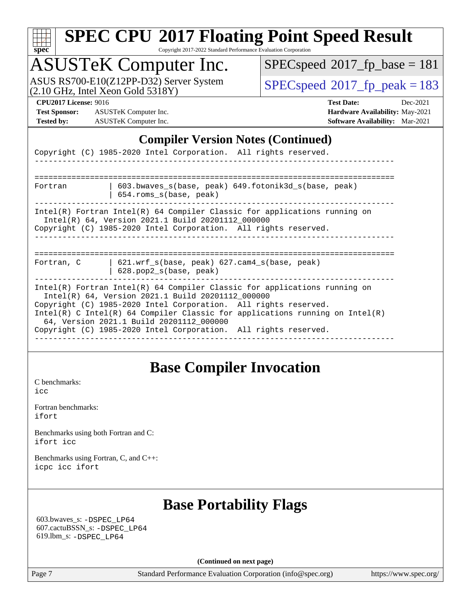| r |  |  |  |  |
|---|--|--|--|--|

Copyright 2017-2022 Standard Performance Evaluation Corporation

# ASUSTeK Computer Inc.

ASUS RS700-E10(Z12PP-D32) Server System  $(2.10 \text{ GHz}, \text{ Intel Xeon Gold } 5318\text{Y})$   $\big| \text{ SPECspeed}^{\circ}2017 \text{_f}_\text{peak} = 183$  $\big| \text{ SPECspeed}^{\circ}2017 \text{_f}_\text{peak} = 183$  $\big| \text{ SPECspeed}^{\circ}2017 \text{_f}_\text{peak} = 183$ 

 $SPECspeed^{\circledast}2017_fp\_base = 181$  $SPECspeed^{\circledast}2017_fp\_base = 181$ 

**[Test Sponsor:](http://www.spec.org/auto/cpu2017/Docs/result-fields.html#TestSponsor)** ASUSTeK Computer Inc. **[Hardware Availability:](http://www.spec.org/auto/cpu2017/Docs/result-fields.html#HardwareAvailability)** May-2021 **[Tested by:](http://www.spec.org/auto/cpu2017/Docs/result-fields.html#Testedby)** ASUSTeK Computer Inc. **[Software Availability:](http://www.spec.org/auto/cpu2017/Docs/result-fields.html#SoftwareAvailability)** Mar-2021

**[CPU2017 License:](http://www.spec.org/auto/cpu2017/Docs/result-fields.html#CPU2017License)** 9016 **[Test Date:](http://www.spec.org/auto/cpu2017/Docs/result-fields.html#TestDate)** Dec-2021

### **[Compiler Version Notes \(Continued\)](http://www.spec.org/auto/cpu2017/Docs/result-fields.html#CompilerVersionNotes)**

|            | Copyright (C) 1985-2020 Intel Corporation. All rights reserved.                                                                                                                                                                                                                                                                                                                                    |
|------------|----------------------------------------------------------------------------------------------------------------------------------------------------------------------------------------------------------------------------------------------------------------------------------------------------------------------------------------------------------------------------------------------------|
| Fortran    | 603.bwaves s(base, peak) 649.fotonik3d s(base, peak)<br>$654$ .roms $s(base, peak)$                                                                                                                                                                                                                                                                                                                |
|            | $Intel(R)$ Fortran Intel(R) 64 Compiler Classic for applications running on<br>Intel(R) 64, Version 2021.1 Build 20201112_000000<br>Copyright (C) 1985-2020 Intel Corporation. All rights reserved.                                                                                                                                                                                                |
| Fortran, C | 621.wrf $s(base, peak)$ 627.cam4 $s(base, peak)$<br>$628. pop2_s(base, peak)$                                                                                                                                                                                                                                                                                                                      |
|            | $Intel(R)$ Fortran Intel(R) 64 Compiler Classic for applications running on<br>Intel(R) 64, Version 2021.1 Build 20201112 000000<br>Copyright (C) 1985-2020 Intel Corporation. All rights reserved.<br>Intel(R) C Intel(R) 64 Compiler Classic for applications running on Intel(R)<br>64, Version 2021.1 Build 20201112_000000<br>Copyright (C) 1985-2020 Intel Corporation. All rights reserved. |

## **[Base Compiler Invocation](http://www.spec.org/auto/cpu2017/Docs/result-fields.html#BaseCompilerInvocation)**

[C benchmarks](http://www.spec.org/auto/cpu2017/Docs/result-fields.html#Cbenchmarks): [icc](http://www.spec.org/cpu2017/results/res2022q1/cpu2017-20211216-30442.flags.html#user_CCbase_intel_icc_66fc1ee009f7361af1fbd72ca7dcefbb700085f36577c54f309893dd4ec40d12360134090235512931783d35fd58c0460139e722d5067c5574d8eaf2b3e37e92)

[Fortran benchmarks](http://www.spec.org/auto/cpu2017/Docs/result-fields.html#Fortranbenchmarks): [ifort](http://www.spec.org/cpu2017/results/res2022q1/cpu2017-20211216-30442.flags.html#user_FCbase_intel_ifort_8111460550e3ca792625aed983ce982f94888b8b503583aa7ba2b8303487b4d8a21a13e7191a45c5fd58ff318f48f9492884d4413fa793fd88dd292cad7027ca)

[Benchmarks using both Fortran and C](http://www.spec.org/auto/cpu2017/Docs/result-fields.html#BenchmarksusingbothFortranandC): [ifort](http://www.spec.org/cpu2017/results/res2022q1/cpu2017-20211216-30442.flags.html#user_CC_FCbase_intel_ifort_8111460550e3ca792625aed983ce982f94888b8b503583aa7ba2b8303487b4d8a21a13e7191a45c5fd58ff318f48f9492884d4413fa793fd88dd292cad7027ca) [icc](http://www.spec.org/cpu2017/results/res2022q1/cpu2017-20211216-30442.flags.html#user_CC_FCbase_intel_icc_66fc1ee009f7361af1fbd72ca7dcefbb700085f36577c54f309893dd4ec40d12360134090235512931783d35fd58c0460139e722d5067c5574d8eaf2b3e37e92)

[Benchmarks using Fortran, C, and C++:](http://www.spec.org/auto/cpu2017/Docs/result-fields.html#BenchmarksusingFortranCandCXX) [icpc](http://www.spec.org/cpu2017/results/res2022q1/cpu2017-20211216-30442.flags.html#user_CC_CXX_FCbase_intel_icpc_c510b6838c7f56d33e37e94d029a35b4a7bccf4766a728ee175e80a419847e808290a9b78be685c44ab727ea267ec2f070ec5dc83b407c0218cded6866a35d07) [icc](http://www.spec.org/cpu2017/results/res2022q1/cpu2017-20211216-30442.flags.html#user_CC_CXX_FCbase_intel_icc_66fc1ee009f7361af1fbd72ca7dcefbb700085f36577c54f309893dd4ec40d12360134090235512931783d35fd58c0460139e722d5067c5574d8eaf2b3e37e92) [ifort](http://www.spec.org/cpu2017/results/res2022q1/cpu2017-20211216-30442.flags.html#user_CC_CXX_FCbase_intel_ifort_8111460550e3ca792625aed983ce982f94888b8b503583aa7ba2b8303487b4d8a21a13e7191a45c5fd58ff318f48f9492884d4413fa793fd88dd292cad7027ca)

## **[Base Portability Flags](http://www.spec.org/auto/cpu2017/Docs/result-fields.html#BasePortabilityFlags)**

 603.bwaves\_s: [-DSPEC\\_LP64](http://www.spec.org/cpu2017/results/res2022q1/cpu2017-20211216-30442.flags.html#suite_basePORTABILITY603_bwaves_s_DSPEC_LP64) 607.cactuBSSN\_s: [-DSPEC\\_LP64](http://www.spec.org/cpu2017/results/res2022q1/cpu2017-20211216-30442.flags.html#suite_basePORTABILITY607_cactuBSSN_s_DSPEC_LP64) 619.lbm\_s: [-DSPEC\\_LP64](http://www.spec.org/cpu2017/results/res2022q1/cpu2017-20211216-30442.flags.html#suite_basePORTABILITY619_lbm_s_DSPEC_LP64)

**(Continued on next page)**

Page 7 Standard Performance Evaluation Corporation [\(info@spec.org\)](mailto:info@spec.org) <https://www.spec.org/>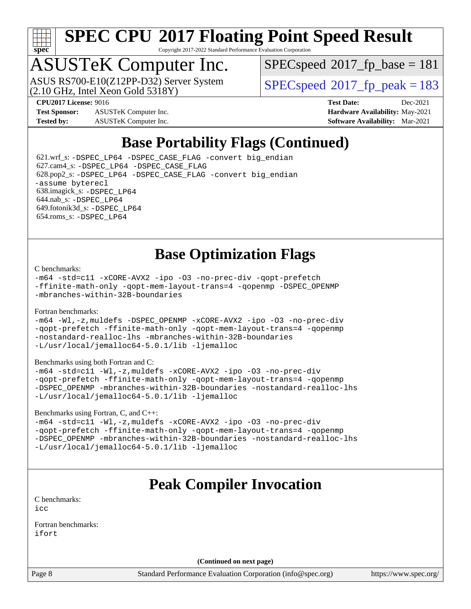

Copyright 2017-2022 Standard Performance Evaluation Corporation

# ASUSTeK Computer Inc.

ASUS RS700-E10(Z12PP-D32) Server System<br>(2.10 GHz, Intel Xeon Gold 5318Y)

[SPECspeed](http://www.spec.org/auto/cpu2017/Docs/result-fields.html#SPECspeed2017fpbase)<sup>®</sup>2017 fp base = 181

[SPECspeed](http://www.spec.org/auto/cpu2017/Docs/result-fields.html#SPECspeed2017fppeak)<sup>®</sup>2017 fp peak = 183

**[Test Sponsor:](http://www.spec.org/auto/cpu2017/Docs/result-fields.html#TestSponsor)** ASUSTeK Computer Inc. **[Hardware Availability:](http://www.spec.org/auto/cpu2017/Docs/result-fields.html#HardwareAvailability)** May-2021 **[Tested by:](http://www.spec.org/auto/cpu2017/Docs/result-fields.html#Testedby)** ASUSTeK Computer Inc. **[Software Availability:](http://www.spec.org/auto/cpu2017/Docs/result-fields.html#SoftwareAvailability)** Mar-2021

**[CPU2017 License:](http://www.spec.org/auto/cpu2017/Docs/result-fields.html#CPU2017License)** 9016 **[Test Date:](http://www.spec.org/auto/cpu2017/Docs/result-fields.html#TestDate)** Dec-2021

## **[Base Portability Flags \(Continued\)](http://www.spec.org/auto/cpu2017/Docs/result-fields.html#BasePortabilityFlags)**

 621.wrf\_s: [-DSPEC\\_LP64](http://www.spec.org/cpu2017/results/res2022q1/cpu2017-20211216-30442.flags.html#suite_basePORTABILITY621_wrf_s_DSPEC_LP64) [-DSPEC\\_CASE\\_FLAG](http://www.spec.org/cpu2017/results/res2022q1/cpu2017-20211216-30442.flags.html#b621.wrf_s_baseCPORTABILITY_DSPEC_CASE_FLAG) [-convert big\\_endian](http://www.spec.org/cpu2017/results/res2022q1/cpu2017-20211216-30442.flags.html#user_baseFPORTABILITY621_wrf_s_convert_big_endian_c3194028bc08c63ac5d04de18c48ce6d347e4e562e8892b8bdbdc0214820426deb8554edfa529a3fb25a586e65a3d812c835984020483e7e73212c4d31a38223) 627.cam4\_s: [-DSPEC\\_LP64](http://www.spec.org/cpu2017/results/res2022q1/cpu2017-20211216-30442.flags.html#suite_basePORTABILITY627_cam4_s_DSPEC_LP64) [-DSPEC\\_CASE\\_FLAG](http://www.spec.org/cpu2017/results/res2022q1/cpu2017-20211216-30442.flags.html#b627.cam4_s_baseCPORTABILITY_DSPEC_CASE_FLAG) 628.pop2\_s: [-DSPEC\\_LP64](http://www.spec.org/cpu2017/results/res2022q1/cpu2017-20211216-30442.flags.html#suite_basePORTABILITY628_pop2_s_DSPEC_LP64) [-DSPEC\\_CASE\\_FLAG](http://www.spec.org/cpu2017/results/res2022q1/cpu2017-20211216-30442.flags.html#b628.pop2_s_baseCPORTABILITY_DSPEC_CASE_FLAG) [-convert big\\_endian](http://www.spec.org/cpu2017/results/res2022q1/cpu2017-20211216-30442.flags.html#user_baseFPORTABILITY628_pop2_s_convert_big_endian_c3194028bc08c63ac5d04de18c48ce6d347e4e562e8892b8bdbdc0214820426deb8554edfa529a3fb25a586e65a3d812c835984020483e7e73212c4d31a38223) [-assume byterecl](http://www.spec.org/cpu2017/results/res2022q1/cpu2017-20211216-30442.flags.html#user_baseFPORTABILITY628_pop2_s_assume_byterecl_7e47d18b9513cf18525430bbf0f2177aa9bf368bc7a059c09b2c06a34b53bd3447c950d3f8d6c70e3faf3a05c8557d66a5798b567902e8849adc142926523472) 638.imagick\_s: [-DSPEC\\_LP64](http://www.spec.org/cpu2017/results/res2022q1/cpu2017-20211216-30442.flags.html#suite_basePORTABILITY638_imagick_s_DSPEC_LP64) 644.nab\_s: [-DSPEC\\_LP64](http://www.spec.org/cpu2017/results/res2022q1/cpu2017-20211216-30442.flags.html#suite_basePORTABILITY644_nab_s_DSPEC_LP64) 649.fotonik3d\_s: [-DSPEC\\_LP64](http://www.spec.org/cpu2017/results/res2022q1/cpu2017-20211216-30442.flags.html#suite_basePORTABILITY649_fotonik3d_s_DSPEC_LP64) 654.roms\_s: [-DSPEC\\_LP64](http://www.spec.org/cpu2017/results/res2022q1/cpu2017-20211216-30442.flags.html#suite_basePORTABILITY654_roms_s_DSPEC_LP64)

## **[Base Optimization Flags](http://www.spec.org/auto/cpu2017/Docs/result-fields.html#BaseOptimizationFlags)**

### [C benchmarks](http://www.spec.org/auto/cpu2017/Docs/result-fields.html#Cbenchmarks):

[-m64](http://www.spec.org/cpu2017/results/res2022q1/cpu2017-20211216-30442.flags.html#user_CCbase_m64-icc) [-std=c11](http://www.spec.org/cpu2017/results/res2022q1/cpu2017-20211216-30442.flags.html#user_CCbase_std-icc-std_0e1c27790398a4642dfca32ffe6c27b5796f9c2d2676156f2e42c9c44eaad0c049b1cdb667a270c34d979996257aeb8fc440bfb01818dbc9357bd9d174cb8524) [-xCORE-AVX2](http://www.spec.org/cpu2017/results/res2022q1/cpu2017-20211216-30442.flags.html#user_CCbase_f-xCORE-AVX2) [-ipo](http://www.spec.org/cpu2017/results/res2022q1/cpu2017-20211216-30442.flags.html#user_CCbase_f-ipo) [-O3](http://www.spec.org/cpu2017/results/res2022q1/cpu2017-20211216-30442.flags.html#user_CCbase_f-O3) [-no-prec-div](http://www.spec.org/cpu2017/results/res2022q1/cpu2017-20211216-30442.flags.html#user_CCbase_f-no-prec-div) [-qopt-prefetch](http://www.spec.org/cpu2017/results/res2022q1/cpu2017-20211216-30442.flags.html#user_CCbase_f-qopt-prefetch) [-ffinite-math-only](http://www.spec.org/cpu2017/results/res2022q1/cpu2017-20211216-30442.flags.html#user_CCbase_f_finite_math_only_cb91587bd2077682c4b38af759c288ed7c732db004271a9512da14a4f8007909a5f1427ecbf1a0fb78ff2a814402c6114ac565ca162485bbcae155b5e4258871) [-qopt-mem-layout-trans=4](http://www.spec.org/cpu2017/results/res2022q1/cpu2017-20211216-30442.flags.html#user_CCbase_f-qopt-mem-layout-trans_fa39e755916c150a61361b7846f310bcdf6f04e385ef281cadf3647acec3f0ae266d1a1d22d972a7087a248fd4e6ca390a3634700869573d231a252c784941a8) [-qopenmp](http://www.spec.org/cpu2017/results/res2022q1/cpu2017-20211216-30442.flags.html#user_CCbase_qopenmp_16be0c44f24f464004c6784a7acb94aca937f053568ce72f94b139a11c7c168634a55f6653758ddd83bcf7b8463e8028bb0b48b77bcddc6b78d5d95bb1df2967) [-DSPEC\\_OPENMP](http://www.spec.org/cpu2017/results/res2022q1/cpu2017-20211216-30442.flags.html#suite_CCbase_DSPEC_OPENMP) [-mbranches-within-32B-boundaries](http://www.spec.org/cpu2017/results/res2022q1/cpu2017-20211216-30442.flags.html#user_CCbase_f-mbranches-within-32B-boundaries)

### [Fortran benchmarks](http://www.spec.org/auto/cpu2017/Docs/result-fields.html#Fortranbenchmarks):

[-m64](http://www.spec.org/cpu2017/results/res2022q1/cpu2017-20211216-30442.flags.html#user_FCbase_m64-icc) [-Wl,-z,muldefs](http://www.spec.org/cpu2017/results/res2022q1/cpu2017-20211216-30442.flags.html#user_FCbase_link_force_multiple1_b4cbdb97b34bdee9ceefcfe54f4c8ea74255f0b02a4b23e853cdb0e18eb4525ac79b5a88067c842dd0ee6996c24547a27a4b99331201badda8798ef8a743f577) [-DSPEC\\_OPENMP](http://www.spec.org/cpu2017/results/res2022q1/cpu2017-20211216-30442.flags.html#suite_FCbase_DSPEC_OPENMP) [-xCORE-AVX2](http://www.spec.org/cpu2017/results/res2022q1/cpu2017-20211216-30442.flags.html#user_FCbase_f-xCORE-AVX2) [-ipo](http://www.spec.org/cpu2017/results/res2022q1/cpu2017-20211216-30442.flags.html#user_FCbase_f-ipo) [-O3](http://www.spec.org/cpu2017/results/res2022q1/cpu2017-20211216-30442.flags.html#user_FCbase_f-O3) [-no-prec-div](http://www.spec.org/cpu2017/results/res2022q1/cpu2017-20211216-30442.flags.html#user_FCbase_f-no-prec-div) [-qopt-prefetch](http://www.spec.org/cpu2017/results/res2022q1/cpu2017-20211216-30442.flags.html#user_FCbase_f-qopt-prefetch) [-ffinite-math-only](http://www.spec.org/cpu2017/results/res2022q1/cpu2017-20211216-30442.flags.html#user_FCbase_f_finite_math_only_cb91587bd2077682c4b38af759c288ed7c732db004271a9512da14a4f8007909a5f1427ecbf1a0fb78ff2a814402c6114ac565ca162485bbcae155b5e4258871) [-qopt-mem-layout-trans=4](http://www.spec.org/cpu2017/results/res2022q1/cpu2017-20211216-30442.flags.html#user_FCbase_f-qopt-mem-layout-trans_fa39e755916c150a61361b7846f310bcdf6f04e385ef281cadf3647acec3f0ae266d1a1d22d972a7087a248fd4e6ca390a3634700869573d231a252c784941a8) [-qopenmp](http://www.spec.org/cpu2017/results/res2022q1/cpu2017-20211216-30442.flags.html#user_FCbase_qopenmp_16be0c44f24f464004c6784a7acb94aca937f053568ce72f94b139a11c7c168634a55f6653758ddd83bcf7b8463e8028bb0b48b77bcddc6b78d5d95bb1df2967) [-nostandard-realloc-lhs](http://www.spec.org/cpu2017/results/res2022q1/cpu2017-20211216-30442.flags.html#user_FCbase_f_2003_std_realloc_82b4557e90729c0f113870c07e44d33d6f5a304b4f63d4c15d2d0f1fab99f5daaed73bdb9275d9ae411527f28b936061aa8b9c8f2d63842963b95c9dd6426b8a) [-mbranches-within-32B-boundaries](http://www.spec.org/cpu2017/results/res2022q1/cpu2017-20211216-30442.flags.html#user_FCbase_f-mbranches-within-32B-boundaries) [-L/usr/local/jemalloc64-5.0.1/lib](http://www.spec.org/cpu2017/results/res2022q1/cpu2017-20211216-30442.flags.html#user_FCbase_jemalloc_link_path64_1_cc289568b1a6c0fd3b62c91b824c27fcb5af5e8098e6ad028160d21144ef1b8aef3170d2acf0bee98a8da324cfe4f67d0a3d0c4cc4673d993d694dc2a0df248b) [-ljemalloc](http://www.spec.org/cpu2017/results/res2022q1/cpu2017-20211216-30442.flags.html#user_FCbase_jemalloc_link_lib_d1249b907c500fa1c0672f44f562e3d0f79738ae9e3c4a9c376d49f265a04b9c99b167ecedbf6711b3085be911c67ff61f150a17b3472be731631ba4d0471706)

### [Benchmarks using both Fortran and C](http://www.spec.org/auto/cpu2017/Docs/result-fields.html#BenchmarksusingbothFortranandC):

[-m64](http://www.spec.org/cpu2017/results/res2022q1/cpu2017-20211216-30442.flags.html#user_CC_FCbase_m64-icc) [-std=c11](http://www.spec.org/cpu2017/results/res2022q1/cpu2017-20211216-30442.flags.html#user_CC_FCbase_std-icc-std_0e1c27790398a4642dfca32ffe6c27b5796f9c2d2676156f2e42c9c44eaad0c049b1cdb667a270c34d979996257aeb8fc440bfb01818dbc9357bd9d174cb8524) [-Wl,-z,muldefs](http://www.spec.org/cpu2017/results/res2022q1/cpu2017-20211216-30442.flags.html#user_CC_FCbase_link_force_multiple1_b4cbdb97b34bdee9ceefcfe54f4c8ea74255f0b02a4b23e853cdb0e18eb4525ac79b5a88067c842dd0ee6996c24547a27a4b99331201badda8798ef8a743f577) [-xCORE-AVX2](http://www.spec.org/cpu2017/results/res2022q1/cpu2017-20211216-30442.flags.html#user_CC_FCbase_f-xCORE-AVX2) [-ipo](http://www.spec.org/cpu2017/results/res2022q1/cpu2017-20211216-30442.flags.html#user_CC_FCbase_f-ipo) [-O3](http://www.spec.org/cpu2017/results/res2022q1/cpu2017-20211216-30442.flags.html#user_CC_FCbase_f-O3) [-no-prec-div](http://www.spec.org/cpu2017/results/res2022q1/cpu2017-20211216-30442.flags.html#user_CC_FCbase_f-no-prec-div) [-qopt-prefetch](http://www.spec.org/cpu2017/results/res2022q1/cpu2017-20211216-30442.flags.html#user_CC_FCbase_f-qopt-prefetch) [-ffinite-math-only](http://www.spec.org/cpu2017/results/res2022q1/cpu2017-20211216-30442.flags.html#user_CC_FCbase_f_finite_math_only_cb91587bd2077682c4b38af759c288ed7c732db004271a9512da14a4f8007909a5f1427ecbf1a0fb78ff2a814402c6114ac565ca162485bbcae155b5e4258871) [-qopt-mem-layout-trans=4](http://www.spec.org/cpu2017/results/res2022q1/cpu2017-20211216-30442.flags.html#user_CC_FCbase_f-qopt-mem-layout-trans_fa39e755916c150a61361b7846f310bcdf6f04e385ef281cadf3647acec3f0ae266d1a1d22d972a7087a248fd4e6ca390a3634700869573d231a252c784941a8) [-qopenmp](http://www.spec.org/cpu2017/results/res2022q1/cpu2017-20211216-30442.flags.html#user_CC_FCbase_qopenmp_16be0c44f24f464004c6784a7acb94aca937f053568ce72f94b139a11c7c168634a55f6653758ddd83bcf7b8463e8028bb0b48b77bcddc6b78d5d95bb1df2967) [-DSPEC\\_OPENMP](http://www.spec.org/cpu2017/results/res2022q1/cpu2017-20211216-30442.flags.html#suite_CC_FCbase_DSPEC_OPENMP) [-mbranches-within-32B-boundaries](http://www.spec.org/cpu2017/results/res2022q1/cpu2017-20211216-30442.flags.html#user_CC_FCbase_f-mbranches-within-32B-boundaries) [-nostandard-realloc-lhs](http://www.spec.org/cpu2017/results/res2022q1/cpu2017-20211216-30442.flags.html#user_CC_FCbase_f_2003_std_realloc_82b4557e90729c0f113870c07e44d33d6f5a304b4f63d4c15d2d0f1fab99f5daaed73bdb9275d9ae411527f28b936061aa8b9c8f2d63842963b95c9dd6426b8a) [-L/usr/local/jemalloc64-5.0.1/lib](http://www.spec.org/cpu2017/results/res2022q1/cpu2017-20211216-30442.flags.html#user_CC_FCbase_jemalloc_link_path64_1_cc289568b1a6c0fd3b62c91b824c27fcb5af5e8098e6ad028160d21144ef1b8aef3170d2acf0bee98a8da324cfe4f67d0a3d0c4cc4673d993d694dc2a0df248b) [-ljemalloc](http://www.spec.org/cpu2017/results/res2022q1/cpu2017-20211216-30442.flags.html#user_CC_FCbase_jemalloc_link_lib_d1249b907c500fa1c0672f44f562e3d0f79738ae9e3c4a9c376d49f265a04b9c99b167ecedbf6711b3085be911c67ff61f150a17b3472be731631ba4d0471706)

### [Benchmarks using Fortran, C, and C++:](http://www.spec.org/auto/cpu2017/Docs/result-fields.html#BenchmarksusingFortranCandCXX)

[-m64](http://www.spec.org/cpu2017/results/res2022q1/cpu2017-20211216-30442.flags.html#user_CC_CXX_FCbase_m64-icc) [-std=c11](http://www.spec.org/cpu2017/results/res2022q1/cpu2017-20211216-30442.flags.html#user_CC_CXX_FCbase_std-icc-std_0e1c27790398a4642dfca32ffe6c27b5796f9c2d2676156f2e42c9c44eaad0c049b1cdb667a270c34d979996257aeb8fc440bfb01818dbc9357bd9d174cb8524) [-Wl,-z,muldefs](http://www.spec.org/cpu2017/results/res2022q1/cpu2017-20211216-30442.flags.html#user_CC_CXX_FCbase_link_force_multiple1_b4cbdb97b34bdee9ceefcfe54f4c8ea74255f0b02a4b23e853cdb0e18eb4525ac79b5a88067c842dd0ee6996c24547a27a4b99331201badda8798ef8a743f577) [-xCORE-AVX2](http://www.spec.org/cpu2017/results/res2022q1/cpu2017-20211216-30442.flags.html#user_CC_CXX_FCbase_f-xCORE-AVX2) [-ipo](http://www.spec.org/cpu2017/results/res2022q1/cpu2017-20211216-30442.flags.html#user_CC_CXX_FCbase_f-ipo) [-O3](http://www.spec.org/cpu2017/results/res2022q1/cpu2017-20211216-30442.flags.html#user_CC_CXX_FCbase_f-O3) [-no-prec-div](http://www.spec.org/cpu2017/results/res2022q1/cpu2017-20211216-30442.flags.html#user_CC_CXX_FCbase_f-no-prec-div) [-qopt-prefetch](http://www.spec.org/cpu2017/results/res2022q1/cpu2017-20211216-30442.flags.html#user_CC_CXX_FCbase_f-qopt-prefetch) [-ffinite-math-only](http://www.spec.org/cpu2017/results/res2022q1/cpu2017-20211216-30442.flags.html#user_CC_CXX_FCbase_f_finite_math_only_cb91587bd2077682c4b38af759c288ed7c732db004271a9512da14a4f8007909a5f1427ecbf1a0fb78ff2a814402c6114ac565ca162485bbcae155b5e4258871) [-qopt-mem-layout-trans=4](http://www.spec.org/cpu2017/results/res2022q1/cpu2017-20211216-30442.flags.html#user_CC_CXX_FCbase_f-qopt-mem-layout-trans_fa39e755916c150a61361b7846f310bcdf6f04e385ef281cadf3647acec3f0ae266d1a1d22d972a7087a248fd4e6ca390a3634700869573d231a252c784941a8) [-qopenmp](http://www.spec.org/cpu2017/results/res2022q1/cpu2017-20211216-30442.flags.html#user_CC_CXX_FCbase_qopenmp_16be0c44f24f464004c6784a7acb94aca937f053568ce72f94b139a11c7c168634a55f6653758ddd83bcf7b8463e8028bb0b48b77bcddc6b78d5d95bb1df2967) [-DSPEC\\_OPENMP](http://www.spec.org/cpu2017/results/res2022q1/cpu2017-20211216-30442.flags.html#suite_CC_CXX_FCbase_DSPEC_OPENMP) [-mbranches-within-32B-boundaries](http://www.spec.org/cpu2017/results/res2022q1/cpu2017-20211216-30442.flags.html#user_CC_CXX_FCbase_f-mbranches-within-32B-boundaries) [-nostandard-realloc-lhs](http://www.spec.org/cpu2017/results/res2022q1/cpu2017-20211216-30442.flags.html#user_CC_CXX_FCbase_f_2003_std_realloc_82b4557e90729c0f113870c07e44d33d6f5a304b4f63d4c15d2d0f1fab99f5daaed73bdb9275d9ae411527f28b936061aa8b9c8f2d63842963b95c9dd6426b8a) [-L/usr/local/jemalloc64-5.0.1/lib](http://www.spec.org/cpu2017/results/res2022q1/cpu2017-20211216-30442.flags.html#user_CC_CXX_FCbase_jemalloc_link_path64_1_cc289568b1a6c0fd3b62c91b824c27fcb5af5e8098e6ad028160d21144ef1b8aef3170d2acf0bee98a8da324cfe4f67d0a3d0c4cc4673d993d694dc2a0df248b) [-ljemalloc](http://www.spec.org/cpu2017/results/res2022q1/cpu2017-20211216-30442.flags.html#user_CC_CXX_FCbase_jemalloc_link_lib_d1249b907c500fa1c0672f44f562e3d0f79738ae9e3c4a9c376d49f265a04b9c99b167ecedbf6711b3085be911c67ff61f150a17b3472be731631ba4d0471706)

## **[Peak Compiler Invocation](http://www.spec.org/auto/cpu2017/Docs/result-fields.html#PeakCompilerInvocation)**

[C benchmarks](http://www.spec.org/auto/cpu2017/Docs/result-fields.html#Cbenchmarks): [icc](http://www.spec.org/cpu2017/results/res2022q1/cpu2017-20211216-30442.flags.html#user_CCpeak_intel_icc_66fc1ee009f7361af1fbd72ca7dcefbb700085f36577c54f309893dd4ec40d12360134090235512931783d35fd58c0460139e722d5067c5574d8eaf2b3e37e92)

[Fortran benchmarks](http://www.spec.org/auto/cpu2017/Docs/result-fields.html#Fortranbenchmarks): [ifort](http://www.spec.org/cpu2017/results/res2022q1/cpu2017-20211216-30442.flags.html#user_FCpeak_intel_ifort_8111460550e3ca792625aed983ce982f94888b8b503583aa7ba2b8303487b4d8a21a13e7191a45c5fd58ff318f48f9492884d4413fa793fd88dd292cad7027ca)

**(Continued on next page)**

Page 8 Standard Performance Evaluation Corporation [\(info@spec.org\)](mailto:info@spec.org) <https://www.spec.org/>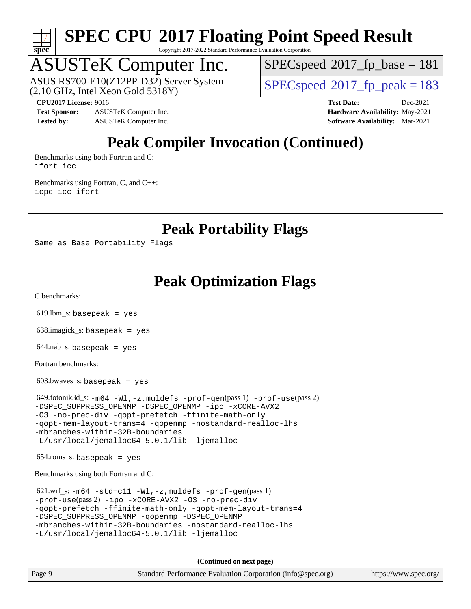

Copyright 2017-2022 Standard Performance Evaluation Corporation

# ASUSTeK Computer Inc.

(2.10 GHz, Intel Xeon Gold 5318Y) ASUS RS700-E10(Z12PP-D32) Server System  $SPECspeed@2017$  $SPECspeed@2017$  fp\_peak = 183

[SPECspeed](http://www.spec.org/auto/cpu2017/Docs/result-fields.html#SPECspeed2017fpbase)<sup>®</sup>2017 fp base = 181

**[Test Sponsor:](http://www.spec.org/auto/cpu2017/Docs/result-fields.html#TestSponsor)** ASUSTeK Computer Inc. **[Hardware Availability:](http://www.spec.org/auto/cpu2017/Docs/result-fields.html#HardwareAvailability)** May-2021 **[Tested by:](http://www.spec.org/auto/cpu2017/Docs/result-fields.html#Testedby)** ASUSTeK Computer Inc. **[Software Availability:](http://www.spec.org/auto/cpu2017/Docs/result-fields.html#SoftwareAvailability)** Mar-2021

**[CPU2017 License:](http://www.spec.org/auto/cpu2017/Docs/result-fields.html#CPU2017License)** 9016 **[Test Date:](http://www.spec.org/auto/cpu2017/Docs/result-fields.html#TestDate)** Dec-2021

## **[Peak Compiler Invocation \(Continued\)](http://www.spec.org/auto/cpu2017/Docs/result-fields.html#PeakCompilerInvocation)**

[Benchmarks using both Fortran and C](http://www.spec.org/auto/cpu2017/Docs/result-fields.html#BenchmarksusingbothFortranandC): [ifort](http://www.spec.org/cpu2017/results/res2022q1/cpu2017-20211216-30442.flags.html#user_CC_FCpeak_intel_ifort_8111460550e3ca792625aed983ce982f94888b8b503583aa7ba2b8303487b4d8a21a13e7191a45c5fd58ff318f48f9492884d4413fa793fd88dd292cad7027ca) [icc](http://www.spec.org/cpu2017/results/res2022q1/cpu2017-20211216-30442.flags.html#user_CC_FCpeak_intel_icc_66fc1ee009f7361af1fbd72ca7dcefbb700085f36577c54f309893dd4ec40d12360134090235512931783d35fd58c0460139e722d5067c5574d8eaf2b3e37e92)

[Benchmarks using Fortran, C, and C++:](http://www.spec.org/auto/cpu2017/Docs/result-fields.html#BenchmarksusingFortranCandCXX) [icpc](http://www.spec.org/cpu2017/results/res2022q1/cpu2017-20211216-30442.flags.html#user_CC_CXX_FCpeak_intel_icpc_c510b6838c7f56d33e37e94d029a35b4a7bccf4766a728ee175e80a419847e808290a9b78be685c44ab727ea267ec2f070ec5dc83b407c0218cded6866a35d07) [icc](http://www.spec.org/cpu2017/results/res2022q1/cpu2017-20211216-30442.flags.html#user_CC_CXX_FCpeak_intel_icc_66fc1ee009f7361af1fbd72ca7dcefbb700085f36577c54f309893dd4ec40d12360134090235512931783d35fd58c0460139e722d5067c5574d8eaf2b3e37e92) [ifort](http://www.spec.org/cpu2017/results/res2022q1/cpu2017-20211216-30442.flags.html#user_CC_CXX_FCpeak_intel_ifort_8111460550e3ca792625aed983ce982f94888b8b503583aa7ba2b8303487b4d8a21a13e7191a45c5fd58ff318f48f9492884d4413fa793fd88dd292cad7027ca)

**[Peak Portability Flags](http://www.spec.org/auto/cpu2017/Docs/result-fields.html#PeakPortabilityFlags)**

Same as Base Portability Flags

## **[Peak Optimization Flags](http://www.spec.org/auto/cpu2017/Docs/result-fields.html#PeakOptimizationFlags)**

[C benchmarks](http://www.spec.org/auto/cpu2017/Docs/result-fields.html#Cbenchmarks):

 $619.$ lbm\_s: basepeak = yes

638.imagick\_s: basepeak = yes

 $644$ .nab\_s: basepeak = yes

[Fortran benchmarks](http://www.spec.org/auto/cpu2017/Docs/result-fields.html#Fortranbenchmarks):

603.bwaves\_s: basepeak = yes

 649.fotonik3d\_s: [-m64](http://www.spec.org/cpu2017/results/res2022q1/cpu2017-20211216-30442.flags.html#user_peakFCLD649_fotonik3d_s_m64-icc) [-Wl,-z,muldefs](http://www.spec.org/cpu2017/results/res2022q1/cpu2017-20211216-30442.flags.html#user_peakEXTRA_LDFLAGS649_fotonik3d_s_link_force_multiple1_b4cbdb97b34bdee9ceefcfe54f4c8ea74255f0b02a4b23e853cdb0e18eb4525ac79b5a88067c842dd0ee6996c24547a27a4b99331201badda8798ef8a743f577) [-prof-gen](http://www.spec.org/cpu2017/results/res2022q1/cpu2017-20211216-30442.flags.html#user_peakPASS1_FFLAGSPASS1_LDFLAGS649_fotonik3d_s_prof_gen_5aa4926d6013ddb2a31985c654b3eb18169fc0c6952a63635c234f711e6e63dd76e94ad52365559451ec499a2cdb89e4dc58ba4c67ef54ca681ffbe1461d6b36)(pass 1) [-prof-use](http://www.spec.org/cpu2017/results/res2022q1/cpu2017-20211216-30442.flags.html#user_peakPASS2_FFLAGSPASS2_LDFLAGS649_fotonik3d_s_prof_use_1a21ceae95f36a2b53c25747139a6c16ca95bd9def2a207b4f0849963b97e94f5260e30a0c64f4bb623698870e679ca08317ef8150905d41bd88c6f78df73f19)(pass 2) [-DSPEC\\_SUPPRESS\\_OPENMP](http://www.spec.org/cpu2017/results/res2022q1/cpu2017-20211216-30442.flags.html#suite_peakPASS1_FOPTIMIZE649_fotonik3d_s_DSPEC_SUPPRESS_OPENMP) [-DSPEC\\_OPENMP](http://www.spec.org/cpu2017/results/res2022q1/cpu2017-20211216-30442.flags.html#suite_peakPASS2_FOPTIMIZE649_fotonik3d_s_DSPEC_OPENMP) [-ipo](http://www.spec.org/cpu2017/results/res2022q1/cpu2017-20211216-30442.flags.html#user_peakPASS1_FOPTIMIZEPASS2_FOPTIMIZE649_fotonik3d_s_f-ipo) [-xCORE-AVX2](http://www.spec.org/cpu2017/results/res2022q1/cpu2017-20211216-30442.flags.html#user_peakPASS2_FOPTIMIZE649_fotonik3d_s_f-xCORE-AVX2) [-O3](http://www.spec.org/cpu2017/results/res2022q1/cpu2017-20211216-30442.flags.html#user_peakPASS1_FOPTIMIZEPASS2_FOPTIMIZE649_fotonik3d_s_f-O3) [-no-prec-div](http://www.spec.org/cpu2017/results/res2022q1/cpu2017-20211216-30442.flags.html#user_peakPASS1_FOPTIMIZEPASS2_FOPTIMIZE649_fotonik3d_s_f-no-prec-div) [-qopt-prefetch](http://www.spec.org/cpu2017/results/res2022q1/cpu2017-20211216-30442.flags.html#user_peakPASS1_FOPTIMIZEPASS2_FOPTIMIZE649_fotonik3d_s_f-qopt-prefetch) [-ffinite-math-only](http://www.spec.org/cpu2017/results/res2022q1/cpu2017-20211216-30442.flags.html#user_peakPASS1_FOPTIMIZEPASS2_FOPTIMIZE649_fotonik3d_s_f_finite_math_only_cb91587bd2077682c4b38af759c288ed7c732db004271a9512da14a4f8007909a5f1427ecbf1a0fb78ff2a814402c6114ac565ca162485bbcae155b5e4258871) [-qopt-mem-layout-trans=4](http://www.spec.org/cpu2017/results/res2022q1/cpu2017-20211216-30442.flags.html#user_peakPASS1_FOPTIMIZEPASS2_FOPTIMIZE649_fotonik3d_s_f-qopt-mem-layout-trans_fa39e755916c150a61361b7846f310bcdf6f04e385ef281cadf3647acec3f0ae266d1a1d22d972a7087a248fd4e6ca390a3634700869573d231a252c784941a8) [-qopenmp](http://www.spec.org/cpu2017/results/res2022q1/cpu2017-20211216-30442.flags.html#user_peakPASS2_FOPTIMIZE649_fotonik3d_s_qopenmp_16be0c44f24f464004c6784a7acb94aca937f053568ce72f94b139a11c7c168634a55f6653758ddd83bcf7b8463e8028bb0b48b77bcddc6b78d5d95bb1df2967) [-nostandard-realloc-lhs](http://www.spec.org/cpu2017/results/res2022q1/cpu2017-20211216-30442.flags.html#user_peakEXTRA_FOPTIMIZE649_fotonik3d_s_f_2003_std_realloc_82b4557e90729c0f113870c07e44d33d6f5a304b4f63d4c15d2d0f1fab99f5daaed73bdb9275d9ae411527f28b936061aa8b9c8f2d63842963b95c9dd6426b8a) [-mbranches-within-32B-boundaries](http://www.spec.org/cpu2017/results/res2022q1/cpu2017-20211216-30442.flags.html#user_peakEXTRA_FOPTIMIZE649_fotonik3d_s_f-mbranches-within-32B-boundaries) [-L/usr/local/jemalloc64-5.0.1/lib](http://www.spec.org/cpu2017/results/res2022q1/cpu2017-20211216-30442.flags.html#user_peakEXTRA_LIBS649_fotonik3d_s_jemalloc_link_path64_1_cc289568b1a6c0fd3b62c91b824c27fcb5af5e8098e6ad028160d21144ef1b8aef3170d2acf0bee98a8da324cfe4f67d0a3d0c4cc4673d993d694dc2a0df248b) [-ljemalloc](http://www.spec.org/cpu2017/results/res2022q1/cpu2017-20211216-30442.flags.html#user_peakEXTRA_LIBS649_fotonik3d_s_jemalloc_link_lib_d1249b907c500fa1c0672f44f562e3d0f79738ae9e3c4a9c376d49f265a04b9c99b167ecedbf6711b3085be911c67ff61f150a17b3472be731631ba4d0471706)

654.roms\_s: basepeak = yes

[Benchmarks using both Fortran and C](http://www.spec.org/auto/cpu2017/Docs/result-fields.html#BenchmarksusingbothFortranandC):

```
 621.wrf_s: -m64 -std=c11 -Wl,-z,muldefs -prof-gen(pass 1)
-prof-use(pass 2) -ipo -xCORE-AVX2 -O3 -no-prec-div
-qopt-prefetch -ffinite-math-only -qopt-mem-layout-trans=4
-DSPEC_SUPPRESS_OPENMP -qopenmp -DSPEC_OPENMP
-mbranches-within-32B-boundaries -nostandard-realloc-lhs
-L/usr/local/jemalloc64-5.0.1/lib -ljemalloc
```
**(Continued on next page)**